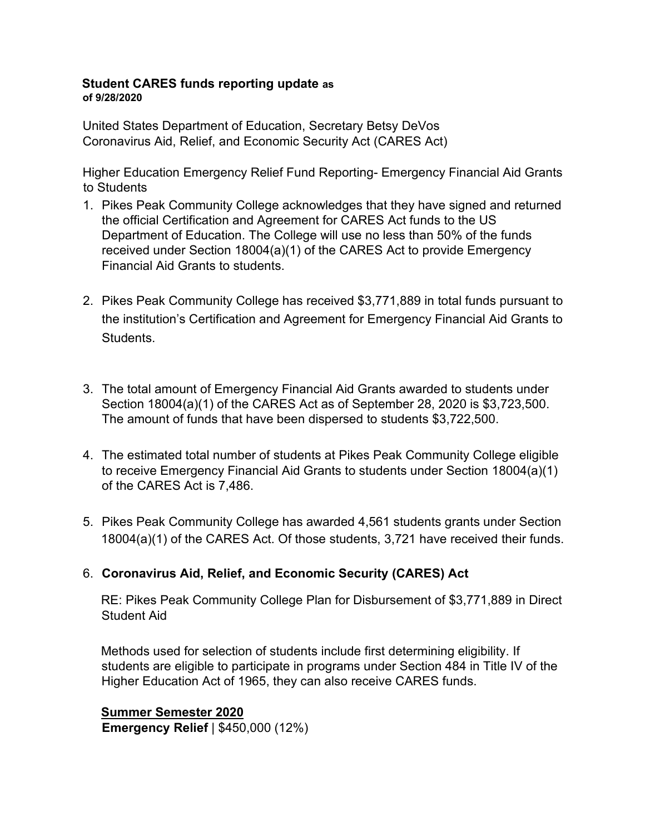#### **Student CARES funds reporting update as of 9/28/2020**

United States Department of Education, Secretary Betsy DeVos Coronavirus Aid, Relief, and Economic Security Act (CARES Act)

Higher Education Emergency Relief Fund Reporting- Emergency Financial Aid Grants to Students

- 1. Pikes Peak Community College acknowledges that they have signed and returned the official Certification and Agreement for CARES Act funds to the US Department of Education. The College will use no less than 50% of the funds received under Section 18004(a)(1) of the CARES Act to provide Emergency Financial Aid Grants to students.
- 2. Pikes Peak Community College has received \$3,771,889 in total funds pursuant to the institution's Certification and Agreement for Emergency Financial Aid Grants to Students.
- 3. The total amount of Emergency Financial Aid Grants awarded to students under Section 18004(a)(1) of the CARES Act as of September 28, 2020 is \$3,723,500. The amount of funds that have been dispersed to students \$3,722,500.
- 4. The estimated total number of students at Pikes Peak Community College eligible to receive Emergency Financial Aid Grants to students under Section 18004(a)(1) of the CARES Act is 7,486.
- 5. Pikes Peak Community College has awarded 4,561 students grants under Section 18004(a)(1) of the CARES Act. Of those students, 3,721 have received their funds.

#### 6. **Coronavirus Aid, Relief, and Economic Security (CARES) Act**

RE: Pikes Peak Community College Plan for Disbursement of \$3,771,889 in Direct Student Aid

Methods used for selection of students include first determining eligibility. If students are eligible to participate in programs under Section 484 in Title IV of the Higher Education Act of 1965, they can also receive CARES funds.

## **Summer Semester 2020 Emergency Relief** | \$450,000 (12%)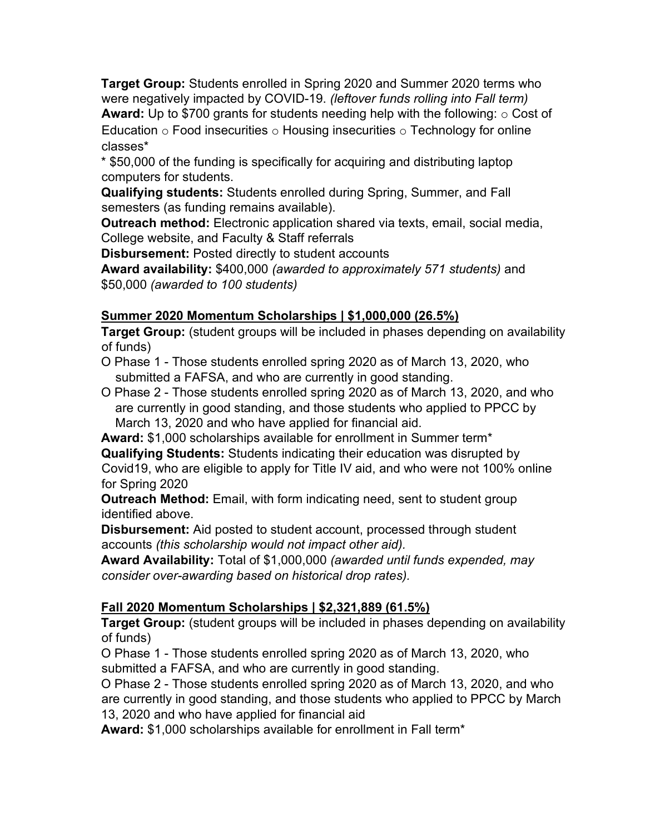**Target Group:** Students enrolled in Spring 2020 and Summer 2020 terms who were negatively impacted by COVID-19. *(leftover funds rolling into Fall term)* **Award:** Up to \$700 grants for students needing help with the following: o Cost of Education  $\circ$  Food insecurities  $\circ$  Housing insecurities  $\circ$  Technology for online classes\*

\* \$50,000 of the funding is specifically for acquiring and distributing laptop computers for students.

**Qualifying students:** Students enrolled during Spring, Summer, and Fall semesters (as funding remains available).

**Outreach method:** Electronic application shared via texts, email, social media, College website, and Faculty & Staff referrals

**Disbursement:** Posted directly to student accounts

**Award availability:** \$400,000 *(awarded to approximately 571 students)* and \$50,000 *(awarded to 100 students)*

## **Summer 2020 Momentum Scholarships | \$1,000,000 (26.5%)**

**Target Group:** (student groups will be included in phases depending on availability of funds)

- O Phase 1 Those students enrolled spring 2020 as of March 13, 2020, who submitted a FAFSA, and who are currently in good standing.
- O Phase 2 Those students enrolled spring 2020 as of March 13, 2020, and who are currently in good standing, and those students who applied to PPCC by March 13, 2020 and who have applied for financial aid.

**Award:** \$1,000 scholarships available for enrollment in Summer term\*

**Qualifying Students:** Students indicating their education was disrupted by Covid19, who are eligible to apply for Title IV aid, and who were not 100% online for Spring 2020

**Outreach Method:** Email, with form indicating need, sent to student group identified above.

**Disbursement:** Aid posted to student account, processed through student accounts *(this scholarship would not impact other aid).*

**Award Availability:** Total of \$1,000,000 *(awarded until funds expended, may consider over-awarding based on historical drop rates).*

# **Fall 2020 Momentum Scholarships | \$2,321,889 (61.5%)**

**Target Group:** (student groups will be included in phases depending on availability of funds)

O Phase 1 - Those students enrolled spring 2020 as of March 13, 2020, who submitted a FAFSA, and who are currently in good standing.

O Phase 2 - Those students enrolled spring 2020 as of March 13, 2020, and who are currently in good standing, and those students who applied to PPCC by March 13, 2020 and who have applied for financial aid

**Award:** \$1,000 scholarships available for enrollment in Fall term\*